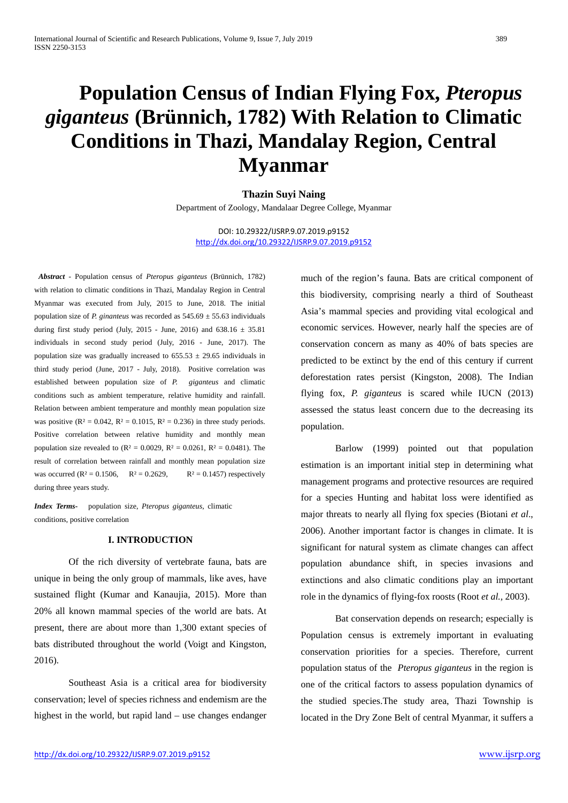# **Population Census of Indian Flying Fox,** *Pteropus giganteus* **(Brünnich, 1782) With Relation to Climatic Conditions in Thazi, Mandalay Region, Central Myanmar**

**Thazin Suyi Naing** Department of Zoology, Mandalaar Degree College, Myanmar

DOI: 10.29322/IJSRP.9.07.2019.p9152 <http://dx.doi.org/10.29322/IJSRP.9.07.2019.p9152>

*Abstract* - Population census of *Pteropus giganteus* (Brünnich, 1782) with relation to climatic conditions in Thazi, Mandalay Region in Central Myanmar was executed from July, 2015 to June, 2018. The initial population size of *P. ginanteus* was recorded as  $545.69 \pm 55.63$  individuals during first study period (July, 2015 - June, 2016) and  $638.16 \pm 35.81$ individuals in second study period (July, 2016 - June, 2017). The population size was gradually increased to  $655.53 \pm 29.65$  individuals in third study period (June, 2017 - July, 2018). Positive correlation was established between population size of *P. giganteus* and climatic conditions such as ambient temperature, relative humidity and rainfall. Relation between ambient temperature and monthly mean population size was positive ( $R^2 = 0.042$ ,  $R^2 = 0.1015$ ,  $R^2 = 0.236$ ) in three study periods. Positive correlation between relative humidity and monthly mean population size revealed to  $(R^2 = 0.0029, R^2 = 0.0261, R^2 = 0.0481)$ . The result of correlation between rainfall and monthly mean population size was occurred ( $R^2 = 0.1506$ ,  $R^2 = 0.2629$ ,  $R^2 = 0.1457$ ) respectively during three years study.

*Index Terms***-** population size, *Pteropus giganteus*, climatic conditions, positive correlation

# **I. INTRODUCTION**

Of the rich diversity of vertebrate fauna, bats are unique in being the only group of mammals, like aves, have sustained flight (Kumar and Kanaujia, 2015). More than 20% all known mammal species of the world are bats. At present, there are about more than 1,300 extant species of bats distributed throughout the world (Voigt and Kingston, 2016).

Southeast Asia is a critical area for biodiversity conservation; level of species richness and endemism are the highest in the world, but rapid land – use changes endanger much of the region's fauna. Bats are critical component of this biodiversity, comprising nearly a third of Southeast Asia's mammal species and providing vital ecological and economic services. However, nearly half the species are of conservation concern as many as 40% of bats species are predicted to be extinct by the end of this century if current deforestation rates persist (Kingston, 2008). The Indian flying fox, *P. giganteus* is scared while IUCN (2013) assessed the status least concern due to the decreasing its population.

Barlow (1999) pointed out that population estimation is an important initial step in determining what management programs and protective resources are required for a species Hunting and habitat loss were identified as major threats to nearly all flying fox species (Biotani *et al*., 2006). Another important factor is changes in climate. It is significant for natural system as climate changes can affect population abundance shift, in species invasions and extinctions and also climatic conditions play an important role in the dynamics of flying-fox roosts (Root *et al.,* 2003).

Bat conservation depends on research; especially is Population census is extremely important in evaluating conservation priorities for a species. Therefore, current population status of the *Pteropus giganteus* in the region is one of the critical factors to assess population dynamics of the studied species.The study area, Thazi Township is located in the Dry Zone Belt of central Myanmar, it suffers a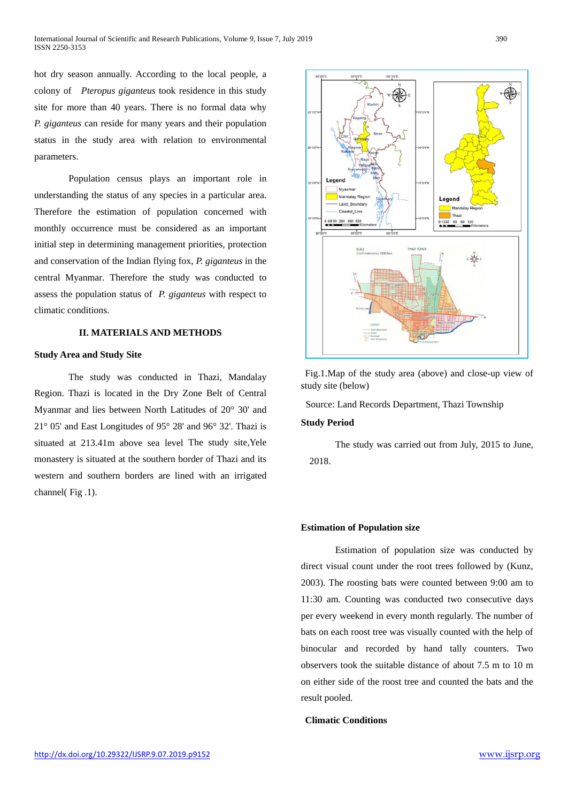hot dry season annually. According to the local people, a colony of *Pteropus giganteus* took residence in this study site for more than 40 years. There is no formal data why *P. giganteus* can reside for many years and their population status in the study area with relation to environmental parameters.

Population census plays an important role in understanding the status of any species in a particular area. Therefore the estimation of population concerned with monthly occurrence must be considered as an important initial step in determining management priorities, protection and conservation of the Indian flying fox, *P. giganteus* in the central Myanmar*.* Therefore the study was conducted to assess the population status of *P. giganteus* with respect to climatic conditions.

## **II. MATERIALS AND METHODS**

#### **Study Area and Study Site**

The study was conducted in Thazi, Mandalay Region. Thazi is located in the Dry Zone Belt of Central Myanmar and lies between North Latitudes of 20° 30' and 21° 05' and East Longitudes of 95° 28' and 96° 32'. Thazi is situated at 213.41m above sea level The study site,Yele monastery is situated at the southern border of Thazi and its western and southern borders are lined with an irrigated channel( Fig .1).



Fig.1.Map of the study area (above) and close-up view of study site (below)

Source: Land Records Department, Thazi Township

### **Study Period**

The study was carried out from July, 2015 to June, 2018.

#### **Estimation of Population size**

Estimation of population size was conducted by direct visual count under the root trees followed by (Kunz, 2003). The roosting bats were counted between 9:00 am to 11:30 am. Counting was conducted two consecutive days per every weekend in every month regularly. The number of bats on each roost tree was visually counted with the help of binocular and recorded by hand tally counters. Two observers took the suitable distance of about 7.5 m to 10 m on either side of the roost tree and counted the bats and the result pooled.

#### **Climatic Conditions**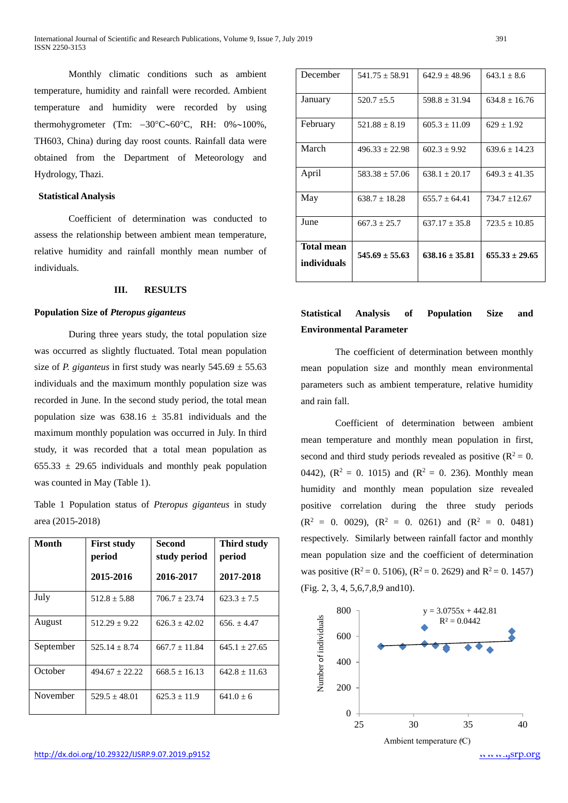Monthly climatic conditions such as ambient temperature, humidity and rainfall were recorded. Ambient temperature and humidity were recorded by using thermohygrometer (Tm: −30°C∼60°C, RH: 0%∼100%, TH603, China) during day roost counts. Rainfall data were obtained from the Department of Meteorology and Hydrology, Thazi.

#### **Statistical Analysis**

Coefficient of determination was conducted to assess the relationship between ambient mean temperature, relative humidity and rainfall monthly mean number of individuals.

#### **III. RESULTS**

#### **Population Size of** *Pteropus giganteus*

During three years study, the total population size was occurred as slightly fluctuated. Total mean population size of *P. giganteus* in first study was nearly  $545.69 \pm 55.63$ individuals and the maximum monthly population size was recorded in June. In the second study period, the total mean population size was  $638.16 \pm 35.81$  individuals and the maximum monthly population was occurred in July. In third study, it was recorded that a total mean population as  $655.33 \pm 29.65$  individuals and monthly peak population was counted in May (Table 1).

Table 1 Population status of *Pteropus giganteus* in study area (2015-2018)

| <b>Month</b> | <b>First study</b><br>period | <b>Second</b><br>study period | Third study<br>period |
|--------------|------------------------------|-------------------------------|-----------------------|
|              | 2015-2016                    | 2016-2017                     | 2017-2018             |
| July         | $512.8 \pm 5.88$             | $706.7 \pm 23.74$             | $623.3 \pm 7.5$       |
| August       | $512.29 + 9.22$              | $626.3 + 42.02$               | $656. + 4.47$         |
| September    | $525.14 \pm 8.74$            | $667.7 + 11.84$               | $645.1 + 27.65$       |
| October      | $494.67 \pm 22.22$           | $668.5 \pm 16.13$             | $642.8 \pm 11.63$     |
| November     | $529.5 + 48.01$              | $625.3 \pm 11.9$              | $641.0 \pm 6$         |

| December                  | $541.75 \pm 58.91$ | $642.9 \pm 48.96$  | $643.1 \pm 8.6$    |
|---------------------------|--------------------|--------------------|--------------------|
| January                   | $520.7 \pm 5.5$    | $598.8 \pm 31.94$  | $634.8 + 16.76$    |
| February                  | $521.88 \pm 8.19$  | $605.3 \pm 11.09$  | $629 \pm 1.92$     |
| March                     | $496.33 + 22.98$   | $602.3 + 9.92$     | $639.6 + 14.23$    |
| April                     | $583.38 \pm 57.06$ | $638.1 \pm 20.17$  | $649.3 \pm 41.35$  |
| May                       | $638.7 \pm 18.28$  | $655.7 \pm 64.41$  | $734.7 \pm 12.67$  |
| June                      | $667.3 \pm 25.7$   | $637.17 \pm 35.8$  | $723.5 \pm 10.85$  |
| Total mean<br>individuals | $545.69 \pm 55.63$ | $638.16 \pm 35.81$ | $655.33 \pm 29.65$ |

# **Statistical Analysis of Population Size and Environmental Parameter**

The coefficient of determination between monthly mean population size and monthly mean environmental parameters such as ambient temperature, relative humidity and rain fall.

Coefficient of determination between ambient mean temperature and monthly mean population in first, second and third study periods revealed as positive ( $\mathbb{R}^2 = 0$ . 0442),  $(R^2 = 0. 1015)$  and  $(R^2 = 0. 236)$ . Monthly mean humidity and monthly mean population size revealed positive correlation during the three study periods  $(R<sup>2</sup> = 0. 0029)$ ,  $(R<sup>2</sup> = 0. 0261)$  and  $(R<sup>2</sup> = 0. 0481)$ respectively. Similarly between rainfall factor and monthly mean population size and the coefficient of determination was positive ( $R^2 = 0.5106$ ), ( $R^2 = 0.2629$ ) and  $R^2 = 0.1457$ ) (Fig. 2, 3, 4, 5,6,7,8,9 and10).

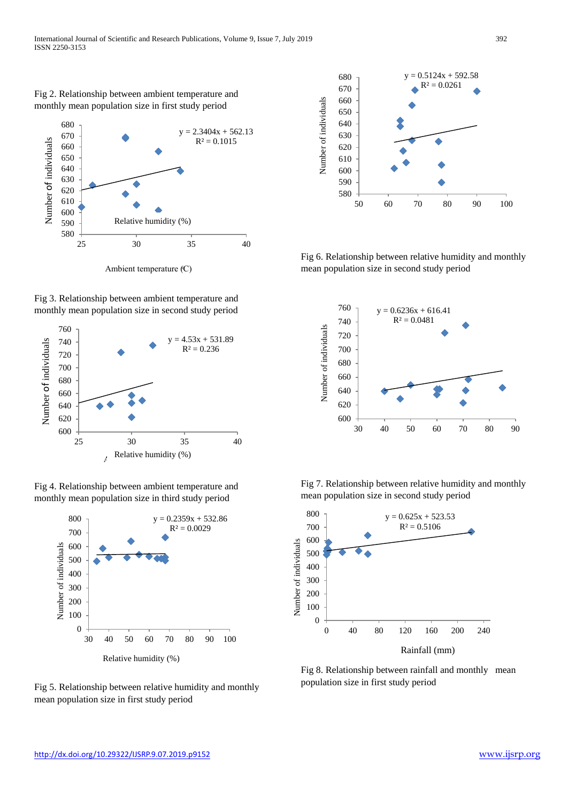Fig 2. Relationship between ambient temperature and monthly mean population size in first study period



Ambient temperature (C)





Fig 4. Relationship between ambient temperature and monthly mean population size in third study period



Fig 5. Relationship between relative humidity and monthly mean population size in first study period



Fig 6. Relationship between relative humidity and monthly mean population size in second study period



Fig 7. Relationship between relative humidity and monthly mean population size in second study period



Fig 8. Relationship between rainfall and monthly mean population size in first study period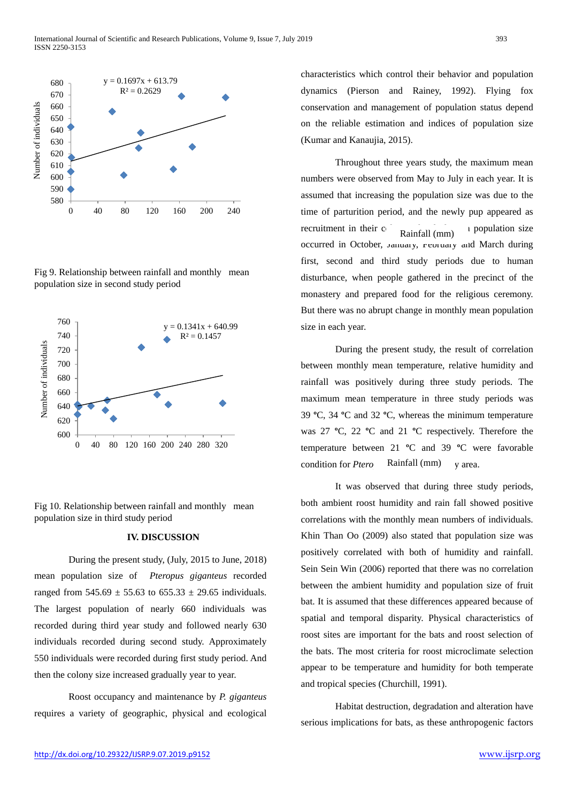

Fig 9. Relationship between rainfall and monthly mean population size in second study period



Fig 10. Relationship between rainfall and monthly mean population size in third study period

## **IV. DISCUSSION**

During the present study, (July, 2015 to June, 2018) mean population size of *Pteropus giganteus* recorded ranged from  $545.69 \pm 55.63$  to  $655.33 \pm 29.65$  individuals. The largest population of nearly 660 individuals was recorded during third year study and followed nearly 630 individuals recorded during second study. Approximately 550 individuals were recorded during first study period. And then the colony size increased gradually year to year.

Roost occupancy and maintenance by *P. giganteus* requires a variety of geographic, physical and ecological characteristics which control their behavior and population dynamics (Pierson and Rainey, 1992). Flying fox conservation and management of population status depend on the reliable estimation and indices of population size (Kumar and Kanaujia, 2015).

Throughout three years study, the maximum mean numbers were observed from May to July in each year. It is assumed that increasing the population size was due to the time of parturition period, and the newly pup appeared as recruitment in their  $c_{n}$ ,  $c_{n}$ ,  $d_{n}$  is population size occurred in October, January, February and March during first, second and third study periods due to human disturbance, when people gathered in the precinct of the monastery and prepared food for the religious ceremony. But there was no abrupt change in monthly mean population size in each year. Rainfall (mm)

During the present study, the result of correlation between monthly mean temperature, relative humidity and rainfall was positively during three study periods. The maximum mean temperature in three study periods was 39 **º**C, 34 **º**C and 32 **º**C, whereas the minimum temperature was 27 **º**C, 22 **º**C and 21 **º**C respectively. Therefore the temperature between 21 **º**C and 39 **º**C were favorable condition for *Ptero* Rainfall (mm) y area. Rainfall (mm)

It was observed that during three study periods, both ambient roost humidity and rain fall showed positive correlations with the monthly mean numbers of individuals. Khin Than Oo (2009) also stated that population size was positively correlated with both of humidity and rainfall. Sein Sein Win (2006) reported that there was no correlation between the ambient humidity and population size of fruit bat. It is assumed that these differences appeared because of spatial and temporal disparity. Physical characteristics of roost sites are important for the bats and roost selection of the bats. The most criteria for roost microclimate selection appear to be temperature and humidity for both temperate and tropical species (Churchill, 1991).

Habitat destruction, degradation and alteration have serious implications for bats, as these anthropogenic factors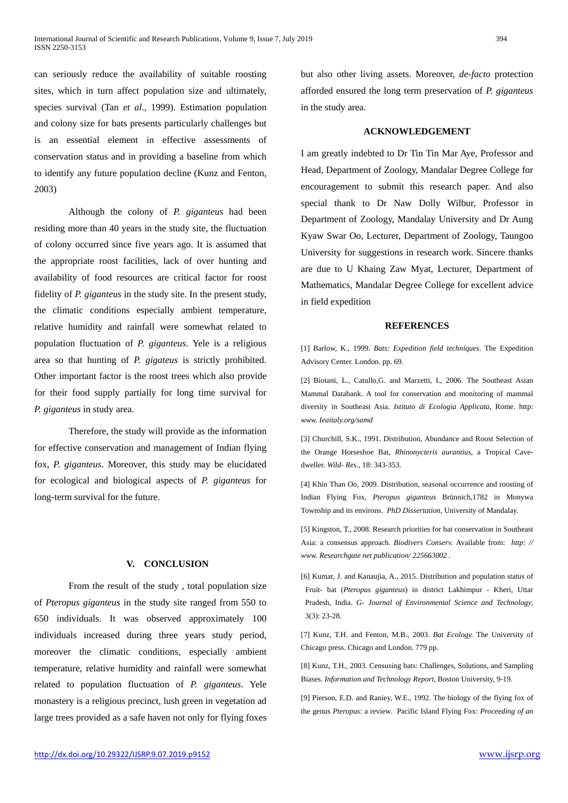can seriously reduce the availability of suitable roosting sites, which in turn affect population size and ultimately, species survival (Tan *et al*., 1999). Estimation population and colony size for bats presents particularly challenges but is an essential element in effective assessments of conservation status and in providing a baseline from which to identify any future population decline (Kunz and Fenton, 2003)

Although the colony of *P. giganteus* had been residing more than 40 years in the study site, the fluctuation of colony occurred since five years ago. It is assumed that the appropriate roost facilities, lack of over hunting and availability of food resources are critical factor for roost fidelity of *P. giganteus* in the study site. In the present study, the climatic conditions especially ambient temperature, relative humidity and rainfall were somewhat related to population fluctuation of *P. giganteus*. Yele is a religious area so that hunting of *P. gigateus* is strictly prohibited. Other important factor is the roost trees which also provide for their food supply partially for long time survival for *P. giganteus* in study area.

Therefore, the study will provide as the information for effective conservation and management of Indian flying fox, *P. giganteus*. Moreover, this study may be elucidated for ecological and biological aspects of *P. giganteus* for long-term survival for the future.

#### **V. CONCLUSION**

From the result of the study , total population size of *Pteropus giganteus* in the study site ranged from 550 to 650 individuals. It was observed approximately 100 individuals increased during three years study period, moreover the climatic conditions, especially ambient temperature, relative humidity and rainfall were somewhat related to population fluctuation of *P. giganteus*. Yele monastery is a religious precinct, lush green in vegetation ad large trees provided as a safe haven not only for flying foxes

but also other living assets. Moreover, *de-facto* protection afforded ensured the long term preservation of *P. giganteus* in the study area.

#### **ACKNOWLEDGEMENT**

I am greatly indebted to Dr Tin Tin Mar Aye, Professor and Head, Department of Zoology, Mandalar Degree College for encouragement to submit this research paper. And also special thank to Dr Naw Dolly Wilbur, Professor in Department of Zoology, Mandalay University and Dr Aung Kyaw Swar Oo, Lecturer, Department of Zoology, Taungoo University for suggestions in research work. Sincere thanks are due to U Khaing Zaw Myat, Lecturer, Department of Mathematics, Mandalar Degree College for excellent advice in field expedition

#### **REFERENCES**

[1] Barlow, K., 1999. *Bats: Expedition field techniques*. The Expedition Advisory Center. London. pp. 69.

[2] Biotani, L., Catullo, G. and Marzetti, I., 2006. The Southeast Asian Mammal Databank. A tool for conservation and monitoring of mammal diversity in Southeast Asia. *Istituto di Ecologia Applicata*, Rome. http: *www. Ieaitaly.org/samd*

[3] Churchill, S.K., 1991. Distribution, Abundance and Roost Selection of the Orange Horseshoe Bat, *Rhinonycteris aurantius*, a Tropical Cavedweller. *Wild- Res*., 18: 343-353.

[4] Khin Than Oo, 2009. Distribution, seasonal occurrence and roosting of Indian Flying Fox, *Pteropus giganteus* Brünnich,1782 in Monywa Township and its environs. *PhD Dissertation*, University of Mandalay.

[5] Kingston, T., 2008. Research priorities for bat conservation in Southeast Asia: a consensus approach. *Biodivers Conserv.* Available from: *http: // www. Researchgate net publication/ 225663002 .*

[6] Kumar, J. and Kanaujia, A., 2015. Distribution and population status of Fruit- bat (*Pteropus giganteus*) in district Lakhimpur - Kheri, Uttar Pradesh, India. *G- Journal of Environmental Science and Technology*, 3(3): 23-28.

[7] Kunz, T.H. and Fenton, M.B., 2003. *Bat Ecology.* The University of Chicago press. Chicago and London. 779 pp.

[8] Kunz, T.H., 2003. Censusing bats: Challenges, Solutions, and Sampling Biases. *Information and Technology Report*, Boston University, 9-19.

[9] Pierson, E.D. and Raniey, W.E., 1992. The biology of the flying fox of the genus *Pteropus*: a review. Pacific Island Flying Fox: *Proceeding of an*